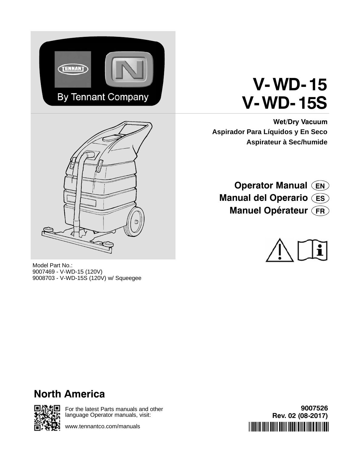

# **V-WD- 15 V-WD- 15S**

**Wet/Dry Vacuum Aspirador Para Líquidos y En Seco Aspirateur à Sec/humide**



Model Part No.: 9007469 - V-WD-15 (120V) 9008703 - V-WD-15S (120V) w/ Squeegee

**Operator Manual EN Manual del Operario ES Manuel Opérateur FR**



# **North America**



For the latest Parts manuals and other language Operator manuals, visit:

www.tennantco.com/manuals

**9007526 Rev. 02 (08-2017)** \*9007526\*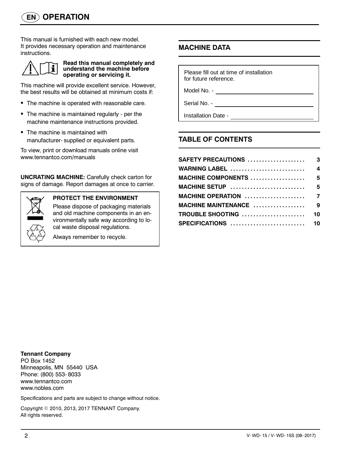This manual is furnished with each new model. It provides necessary operation and maintenance instructions.



#### **Read this manual completely and understand the machine before operating or servicing it.**

This machine will provide excellent service. However, the best results will be obtained at minimum costs if:

- The machine is operated with reasonable care.
- The machine is maintained regularly per the machine maintenance instructions provided.
- The machine is maintained with manufacturer- supplied or equivalent parts.

To view, print or download manuals online visit www.tennantco.com/manuals

**UNCRATING MACHINE:** Carefully check carton for signs of damage. Report damages at once to carrier.



### **PROTECT THE ENVIRONMENT**

Please dispose of packaging materials and old machine components in an environmentally safe way according to local waste disposal regulations.

Always remember to recycle.

### **MACHINE DATA**

Please fill out at time of installation for future reference.

Model No. -

Serial No. -

Installation Date -

### **TABLE OF CONTENTS**

| <b>WARNING LABEL</b>        | $\overline{4}$ |
|-----------------------------|----------------|
| MACHINE COMPONENTS  5       |                |
| MACHINE SETUP  5            |                |
|                             |                |
| MACHINE MAINTENANCE  9      |                |
| <b>TROUBLE SHOOTING  10</b> |                |
| SPECIFICATIONS  10          |                |

#### **Tennant Company**

PO Box 1452 Minneapolis, MN 55440 USA Phone: (800) 553- 8033 www.tennantco.com www.nobles.com

Specifications and parts are subject to change without notice.

Copyright © 2010, 2013, 2017 TENNANT Company. All rights reserved.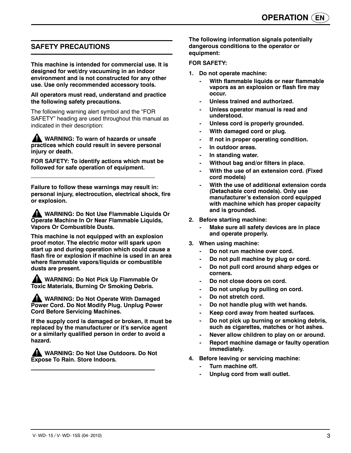### **SAFETY PRECAUTIONS**

**This machine is intended for commercial use. It is designed for wet/dry vacuuming in an indoor environment and is not constructed for any other use. Use only recommended accessory tools.**

#### **All operators must read, understand and practice the following safety precautions.**

The following warning alert symbol and the "FOR SAFETY" heading are used throughout this manual as indicated in their description:

**WARNING: To warn of hazards or unsafe practices which could result in severe personal injury or death.**

**FOR SAFETY: To identify actions which must be followed for safe operation of equipment.**

**Failure to follow these warnings may result in: personal injury, electrocution, electrical shock, fire or explosion.**

**WARNING: Do Not Use Flammable Liquids Or Operate Machine In Or Near Flammable Liquids, Vapors Or Combustible Dusts.**

**This machine is not equipped with an explosion proof motor. The electric motor will spark upon start up and during operation which could cause a flash fire or explosion if machine is used in an area where flammable vapors/liquids or combustible dusts are present.**

**WARNING: Do Not Pick Up Flammable Or Toxic Materials, Burning Or Smoking Debris.**

**WARNING: Do Not Operate With Damaged Power Cord. Do Not Modify Plug. Unplug Power Cord Before Servicing Machines.**

**If the supply cord is damaged or broken, it must be replaced by the manufacturer or it's service agent or a similarly qualified person in order to avoid a hazard.**

**WARNING: Do Not Use Outdoors. Do Not Expose To Rain. Store Indoors.**

**The following information signals potentially dangerous conditions to the operator or equipment:**

#### **FOR SAFETY:**

- **1. Do not operate machine:**
	- **With flammable liquids or near flammable vapors as an explosion or flash fire may occur.**
	- **Unless trained and authorized.**
	- **Unless operator manual is read and understood.**
	- **Unless cord is properly grounded.**
	- **With damaged cord or plug.**
	- **If not in proper operating condition.**
	- **In outdoor areas.**
	- **In standing water.**
	- **Without bag and/or filters in place.**
	- **With the use of an extension cord. (Fixed cord models)**
	- **With the use of additional extension cords (Detachable cord models). Only use manufacturer's extension cord equipped with machine which has proper capacity and is grounded.**
- **2. Before starting machine:**
	- **Make sure all safety devices are in place and operate properly.**
- **3. When using machine:**
	- Do not run machine over cord.
	- **Do not pull machine by plug or cord.**
	- **Do not pull cord around sharp edges or corners.**
	- **Do not close doors on cord.**
	- **Do not unplug by pulling on cord.**
	- **Do not stretch cord.**
	- **Do not handle plug with wet hands.**
	- **Keep cord away from heated surfaces.**
	- **Do not pick up burning or smoking debris, such as cigarettes, matches or hot ashes.**
	- **Never allow children to play on or around.**
	- **Report machine damage or faulty operation immediately.**
- **4. Before leaving or servicing machine:**
	- **Turn machine off.**
	- **Unplug cord from wall outlet.**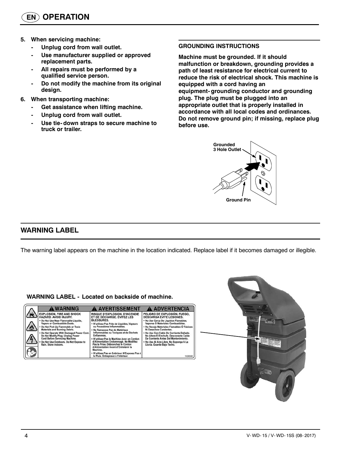- **5. When servicing machine:**
	- **Unplug cord from wall outlet.**
	- **Use manufacturer supplied or approved replacement parts.**
	- **All repairs must be performed by a qualified service person.**
	- **Do not modify the machine from its original design.**
- **6. When transporting machine:**
	- **Get assistance when lifting machine.**
	- **Unplug cord from wall outlet.**
	- **Use tie- down straps to secure machine to truck or trailer.**

#### **GROUNDING INSTRUCTIONS**

**Machine must be grounded. If it should malfunction or breakdown, grounding provides a path of least resistance for electrical current to reduce the risk of electrical shock. This machine is equipped with a cord having an equipment- grounding conductor and grounding plug. The plug must be plugged into an appropriate outlet that is properly installed in accordance with all local codes and ordinances. Do not remove ground pin; if missing, replace plug before use.**



### **WARNING LABEL**

The warning label appears on the machine in the location indicated. Replace label if it becomes damaged or illegible.

#### **WARNING LABEL - Located on backside of machine.**

|   | A WARNING                                                                                                                                                                                                                                                                                                                                                                                            | A AVERTISSEMENT                                                                                                                                                                                                                                                                                                                                                                                                                                                                                                                           | A ADVERTENCIA                                                                                                                                                                                                                                                                                                                                                                                                                            |
|---|------------------------------------------------------------------------------------------------------------------------------------------------------------------------------------------------------------------------------------------------------------------------------------------------------------------------------------------------------------------------------------------------------|-------------------------------------------------------------------------------------------------------------------------------------------------------------------------------------------------------------------------------------------------------------------------------------------------------------------------------------------------------------------------------------------------------------------------------------------------------------------------------------------------------------------------------------------|------------------------------------------------------------------------------------------------------------------------------------------------------------------------------------------------------------------------------------------------------------------------------------------------------------------------------------------------------------------------------------------------------------------------------------------|
| 感 | <b>EXPLOSION, FIRE AND SHOCK</b><br>HAZARD. AVOID INJURY.<br>. Do Not Use Near Flammable Liquids.<br>Vapors or Combustible Dusts.<br>. Do Not Pick Up Flammable or Toxic<br><b>Materials and Burning Debris.</b><br>. Do Not Operate With Damaged Power Cord.<br>Do Not Modify Plug. Unplug Power<br>Cord Before Servicing Machine.<br>Do Not Use Outdoors. Do Not Expose to<br>Rain, Store Indoors. | <b>RISQUE D'EXPLOSION, D'INCENDIE</b><br>ET DE DÉCHARGE. ÉVITEZ LES<br><b>BLESSURES.</b><br>. N'utilisez Pas Près de Liquides, Vapeurs<br>ou Poussières Inflammables.<br>. Ne Ramassez Pas de Matériaux<br>Inflammables ou Toxiques et de Déchets<br>Enflammés.<br>. N'utilisez Pas la Machine Avec un Cordon<br>d'Alimentation Endommagé. Ne Modifiez<br>Pas la Prise, Débranchez le Cordon<br>d'Alimentation Avant d'Entretenir la<br>Machine.<br>· N'utilisez Pas en Extérieur. N'Exposez Pas à<br>la Pluie. Entreposez à l'Intérieur. | PELIGRO DE EXPLOSIÓN, FUEGO,<br><b>DESCARGA EVITE LESIONES.</b><br>. No Use Cerca De Liquidos Flamables.<br>Vapores O Materiales Combustibles.<br>. No Recoja Materiales Flamables Ó Tóxicos<br>Ni Desechos Candentes.<br>. No Use Con Cable De Corriente Dañado.<br>No Altere El Enchufe, Desconecte Cable<br>De Corriente Antes Del Mantenimiento.<br>. No Use Al Aire Libre. No Exponga A La<br>Lluvia. Guarde Bajo Techo.<br>1026382 |

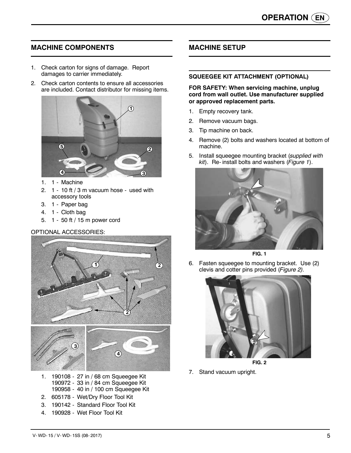### **MACHINE COMPONENTS**

- 1. Check carton for signs of damage. Report damages to carrier immediately.
- 2. Check carton contents to ensure all accessories are included. Contact distributor for missing items.



- 1. 1 Machine
- 2. 1 10 ft / 3 m vacuum hose used with accessory tools
- 3. 1 Paper bag
- 4. 1 Cloth bag
- 5. 1 50 ft / 15 m power cord

#### OPTIONAL ACCESSORIES:



- 1. 190108 27 in / 68 cm Squeegee Kit 190972 - 33 in / 84 cm Squeegee Kit 190958 - 40 in / 100 cm Squeegee Kit
- 2. 605178 Wet/Dry Floor Tool Kit
- 3. 190142 Standard Floor Tool Kit
- 4. 190928 Wet Floor Tool Kit

### **MACHINE SETUP**

#### **SQUEEGEE KIT ATTACHMENT (OPTIONAL)**

**FOR SAFETY: When servicing machine, unplug cord from wall outlet. Use manufacturer supplied or approved replacement parts.**

- 1. Empty recovery tank.
- 2. Remove vacuum bags.
- 3. Tip machine on back.
- 4. Remove (2) bolts and washers located at bottom of machine.
- 5. Install squeegee mounting bracket (*supplied with kit*). Re- install bolts and washers (*Figure 1*).



**FIG. 1**

6. Fasten squeegee to mounting bracket. Use (2) clevis and cotter pins provided (*Figure 2).*



**FIG. 2**

7. Stand vacuum upright.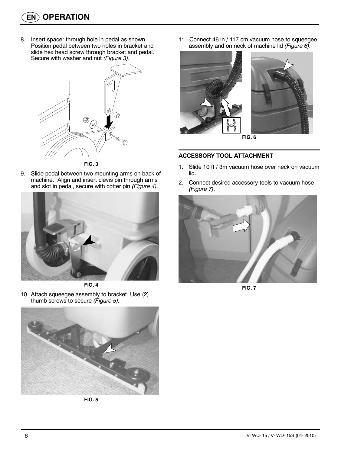8. Insert spacer through hole in pedal as shown. Position pedal between two holes in bracket and slide hex head screw through bracket and pedal. Secure with washer and nut *(Figure 3).*



9. Slide pedal between two mounting arms on back of machine. Align and insert clevis pin through arms and slot in pedal, secure with cotter pin *(Figure 4).*





10. Attach squeegee assembly to bracket. Use (2) thumb screws to secure *(Figure 5).*



**FIG. 5**

11. Connect 46 in / 117 cm vacuum hose to squeegee assembly and on neck of machine lid *(Figure 6).*





#### **ACCESSORY TOOL ATTACHMENT**

- 1. Slide 10 ft / 3m vacuum hose over neck on vacuum lid.
- 2. Connect desired accessory tools to vacuum hose *(Figure 7).*



**FIG. 7**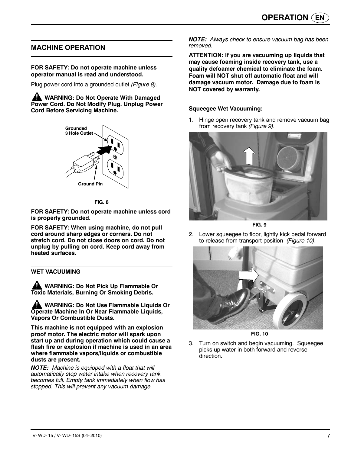### **MACHINE OPERATION**

#### **FOR SAFETY: Do not operate machine unless operator manual is read and understood.**

Plug power cord into a grounded outlet *(Figure 8).*

**WARNING: Do Not Operate With Damaged Power Cord. Do Not Modify Plug. Unplug Power Cord Before Servicing Machine.**



**FIG. 8**

**FOR SAFETY: Do not operate machine unless cord is properly grounded.**

**FOR SAFETY: When using machine, do not pull cord around sharp edges or corners. Do not stretch cord. Do not close doors on cord. Do not unplug by pulling on cord. Keep cord away from heated surfaces.**

**WET VACUUMING**

**WARNING: Do Not Pick Up Flammable Or Toxic Materials, Burning Or Smoking Debris.**

**WARNING: Do Not Use Flammable Liquids Or Operate Machine In Or Near Flammable Liquids, Vapors Or Combustible Dusts.**

**This machine is not equipped with an explosion proof motor. The electric motor will spark upon start up and during operation which could cause a flash fire or explosion if machine is used in an area where flammable vapors/liquids or combustible dusts are present.**

*NOTE: Machine is equipped with a float that will automatically stop water intake when recovery tank becomes full. Empty tank immediately when flow has stopped. This will prevent any vacuum damage.*

*NOTE: Always check to ensure vacuum bag has been removed.*

**ATTENTION: If you are vacuuming up liquids that may cause foaming inside recovery tank, use a quality defoamer chemical to eliminate the foam. Foam will NOT shut off automatic float and will damage vacuum motor. Damage due to foam is NOT covered by warranty.**

#### **Squeegee Wet Vacuuming:**

1. Hinge open recovery tank and remove vacuum bag from recovery tank *(Figure 9).*



**FIG. 9**

2. Lower squeegee to floor, lightly kick pedal forward to release from transport position *(Figure 10).*



**FIG. 10**

3. Turn on switch and begin vacuuming. Squeegee picks up water in both forward and reverse direction.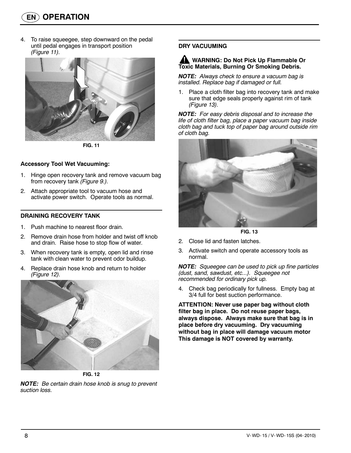4. To raise squeegee, step downward on the pedal until pedal engages in transport position *(Figure 11).*



**FIG. 11**

#### **Accessory Tool Wet Vacuuming:**

- 1. Hinge open recovery tank and remove vacuum bag from recovery tank *(Figure 9.).*
- 2. Attach appropriate tool to vacuum hose and activate power switch. Operate tools as normal.

#### **DRAINING RECOVERY TANK**

- 1. Push machine to nearest floor drain.
- 2. Remove drain hose from holder and twist off knob and drain. Raise hose to stop flow of water.
- 3. When recovery tank is empty, open lid and rinse tank with clean water to prevent odor buildup.
- 4. Replace drain hose knob and return to holder *(Figure 12).*



**FIG. 12**

*NOTE: Be certain drain hose knob is snug to prevent suction loss.*

#### **DRY VACUUMING**

#### **WARNING: Do Not Pick Up Flammable Or Toxic Materials, Burning Or Smoking Debris.**

*NOTE: Always check to ensure a vacuum bag is installed. Replace bag if damaged or full.*

1. Place a cloth filter bag into recovery tank and make sure that edge seals properly against rim of tank *(Figure 13).*

*NOTE: For easy debris disposal and to increase the life of cloth filter bag, place a paper vacuum bag inside cloth bag and tuck top of paper bag around outside rim of cloth bag.*



**FIG. 13**

- 2. Close lid and fasten latches.
- 3. Activate switch and operate accessory tools as normal.

*NOTE: Squeegee can be used to pick up fine particles (dust, sand, sawdust, etc...). Squeegee not recommended for ordinary pick up.*

4. Check bag periodically for fullness. Empty bag at 3/4 full for best suction performance.

**ATTENTION: Never use paper bag without cloth filter bag in place. Do not reuse paper bags, always dispose. Always make sure that bag is in place before dry vacuuming. Dry vacuuming without bag in place will damage vacuum motor This damage is NOT covered by warranty.**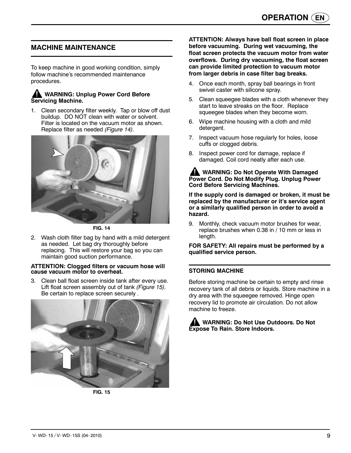### **MACHINE MAINTENANCE**

To keep machine in good working condition, simply follow machine's recommended maintenance procedures.

#### **WARNING: Unplug Power Cord Before Servicing Machine.**

1. Clean secondary filter weekly. Tap or blow off dust buildup. DO NOT clean with water or solvent. Filter is located on the vacuum motor as shown. Replace filter as needed *(Figure 14).*



**FIG. 14**

2. Wash cloth filter bag by hand with a mild detergent as needed. Let bag dry thoroughly before replacing. This will restore your bag so you can maintain good suction performance.

#### **ATTENTION: Clogged filters or vacuum hose will cause vacuum motor to overheat.**

3. Clean ball float screen inside tank after every use. Lift float screen assembly out of tank *(Figure 15).* Be certain to replace screen securely *.*



**FIG. 15**

**ATTENTION: Always have ball float screen in place before vacuuming. During wet vacuuming, the float screen protects the vacuum motor from water overflows. During dry vacuuming, the float screen can provide limited protection to vacuum motor from larger debris in case filter bag breaks.**

- 4. Once each month, spray ball bearings in front swivel caster with silicone spray.
- 5. Clean squeegee blades with a cloth whenever they start to leave streaks on the floor. Replace squeegee blades when they become worn.
- 6. Wipe machine housing with a cloth and mild detergent.
- 7. Inspect vacuum hose regularly for holes, loose cuffs or clogged debris.
- 8. Inspect power cord for damage, replace if damaged. Coil cord neatly after each use.

#### **WARNING: Do Not Operate With Damaged Power Cord. Do Not Modify Plug. Unplug Power Cord Before Servicing Machines.**

**If the supply cord is damaged or broken, it must be replaced by the manufacturer or it's service agent or a similarly qualified person in order to avoid a hazard.**

9. Monthly, check vacuum motor brushes for wear, replace brushes when 0.38 in / 10 mm or less in length.

**FOR SAFETY: All repairs must be performed by a qualified service person.**

#### **STORING MACHINE**

Before storing machine be certain to empty and rinse recovery tank of all debris or liquids. Store machine in a dry area with the squeegee removed. Hinge open recovery lid to promote air circulation. Do not allow machine to freeze.

**WARNING: Do Not Use Outdoors. Do Not Expose To Rain. Store Indoors.**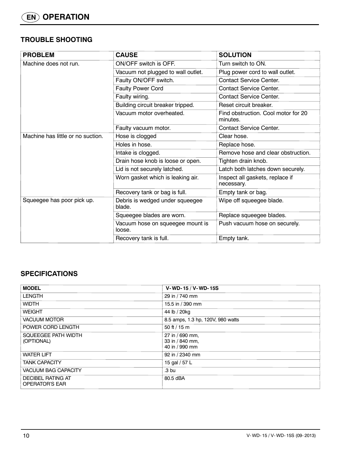### **TROUBLE SHOOTING**

| <b>PROBLEM</b>                    | <b>CAUSE</b>                               | <b>SOLUTION</b>                                 |
|-----------------------------------|--------------------------------------------|-------------------------------------------------|
| Machine does not run.             | ON/OFF switch is OFF.                      | Turn switch to ON.                              |
|                                   | Vacuum not plugged to wall outlet.         | Plug power cord to wall outlet.                 |
|                                   | Faulty ON/OFF switch.                      | <b>Contact Service Center.</b>                  |
|                                   | <b>Faulty Power Cord</b>                   | <b>Contact Service Center.</b>                  |
|                                   | Faulty wiring.                             | <b>Contact Service Center.</b>                  |
|                                   | Building circuit breaker tripped.          | Reset circuit breaker.                          |
|                                   | Vacuum motor overheated.                   | Find obstruction. Cool motor for 20<br>minutes. |
|                                   | Faulty vacuum motor.                       | <b>Contact Service Center.</b>                  |
| Machine has little or no suction. | Hose is clogged                            | Clear hose.                                     |
|                                   | Holes in hose.                             | Replace hose.                                   |
|                                   | Intake is clogged.                         | Remove hose and clear obstruction.              |
|                                   | Drain hose knob is loose or open.          | Tighten drain knob.                             |
|                                   | Lid is not securely latched.               | Latch both latches down securely.               |
|                                   | Worn gasket which is leaking air.          | Inspect all gaskets, replace if<br>necessary.   |
|                                   | Recovery tank or bag is full.              | Empty tank or bag.                              |
| Squeegee has poor pick up.        | Debris is wedged under squeegee<br>blade.  | Wipe off squeegee blade.                        |
|                                   | Squeegee blades are worn.                  | Replace squeegee blades.                        |
|                                   | Vacuum hose on squeegee mount is<br>loose. | Push vacuum hose on securely.                   |
|                                   | Recovery tank is full.                     | Empty tank.                                     |

### **SPECIFICATIONS**

| <b>MODEL</b>                               | V-WD-15 / V-WD-15S                                   |
|--------------------------------------------|------------------------------------------------------|
| <b>LENGTH</b>                              | 29 in / 740 mm                                       |
| <b>WIDTH</b>                               | 15.5 in / 390 mm                                     |
| <b>WEIGHT</b>                              | 44 lb / 20kg                                         |
| <b>VACUUM MOTOR</b>                        | 8.5 amps, 1.3 hp, 120V, 980 watts                    |
| POWER CORD LENGTH                          | 50 ft / 15 m                                         |
| SQUEEGEE PATH WIDTH<br>(OPTIONAL)          | 27 in / 690 mm,<br>33 in / 840 mm,<br>40 in / 990 mm |
| <b>WATER LIFT</b>                          | 92 in / 2340 mm                                      |
| <b>TANK CAPACITY</b>                       | 15 gal / 57 L                                        |
| <b>VACUUM BAG CAPACITY</b>                 | .3 <sub>bu</sub>                                     |
| DECIBEL RATING AT<br><b>OPERATOR'S EAR</b> | 80.5 dBA                                             |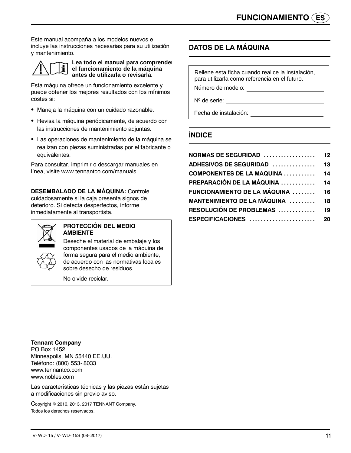Este manual acompaña a los modelos nuevos e incluye las instrucciones necesarias para su utilización y mantenimiento.



**Lea todo el manual para comprender el funcionamiento de la máquina antes de utilizarla o revisarla.**

Esta máquina ofrece un funcionamiento excelente y puede obtener los mejores resultados con los mínimos costes si:

- · Maneja la máquina con un cuidado razonable.
- Revisa la máquina periódicamente, de acuerdo con las instrucciones de mantenimiento adjuntas.
- Las operaciones de mantenimiento de la máquina se realizan con piezas suministradas por el fabricante o equivalentes.

Para consultar, imprimir o descargar manuales en línea, visite www.tennantco.com/manuals

**DESEMBALADO DE LA MÁQUINA:** Controle cuidadosamente si la caja presenta signos de deterioro. Si detecta desperfectos, informe inmediatamente al transportista.



#### **PROTECCIÓN DEL MEDIO AMBIENTE**

Deseche el material de embalaje y los componentes usados de la máquina de forma segura para el medio ambiente, de acuerdo con las normativas locales sobre desecho de residuos.

No olvide reciclar.

### **DATOS DE LA MÁQUINA**

Rellene esta ficha cuando realice la instalación, para utilizarla como referencia en el futuro.

Número de modelo:

Nº de serie:

Fecha de instalación:

### **ÍNDICE**

| ADHESIVOS DE SEGURIDAD               | 13 |
|--------------------------------------|----|
| <b>COMPONENTES DE LA MAQUINA  14</b> |    |
| PREPARACIÓN DE LA MÁQUINA  14        |    |
| FUNCIONAMIENTO DE LA MÁQUINA  16     |    |
| MANTENIMIENTO DE LA MÁQUINA  18      |    |
| RESOLUCIÓN DE PROBLEMAS  19          |    |
|                                      |    |

**Tennant Company** PO Box 1452 Minneapolis, MN 55440 EE.UU. Teléfono: (800) 553- 8033 www.tennantco.com

www.nobles.com

Las características técnicas y las piezas están sujetas a modificaciones sin previo aviso.

Copyright  $@$  2010, 2013, 2017 TENNANT Company. Todos los derechos reservados.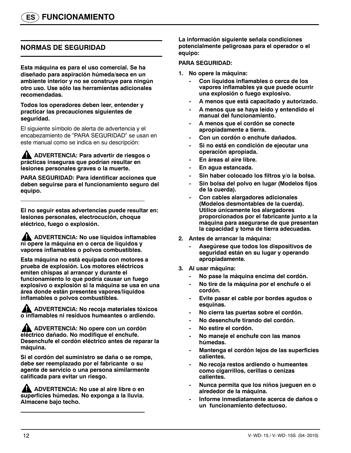### **NORMAS DE SEGURIDAD**

**Esta máquina es para el uso comercial. Se ha diseñado para aspiración húmeda/seca en un ambiente interior y no se construye para ningún otro uso. Use sólo las herramientas adicionales recomendadas.**

**Todos los operadores deben leer, entender y practicar las precauciones siguientes de seguridad.**

El siguiente símbolo de alerta de advertencia y el encabezamiento de "PARA SEGURIDAD" se usan en este manual como se indica en su descripción:

**ADVERTENCIA: Para advertir de riesgos o prácticas inseguras que podrían resultar en lesiones personales graves o la muerte.**

**PARA SEGURIDAD: Para identificar acciones que deben seguirse para el funcionamiento seguro del equipo.**

**El no seguir estas advertencias puede resultar en: lesiones personales, electrocución, choque eléctrico, fuego o explosión.**

**ADVERTENCIA: No use líquidos inflamables ni opere la máquina en o cerca de líquidos y vapores inflamables o polvos combustibles.**

**Esta máquina no está equipada con motores a prueba de explosión. Los motores eléctricos emiten chispas al arrancar y durante el funcionamiento lo que podría causar un fuego explosivo o explosión si la máquina se usa en una área donde están presentes vapores/líquidos inflamables o polvos combustibles.**

**ADVERTENCIA: No recoja materiales tóxicos o inflamables ni residuos humeantes o ardiendo.**

**ADVERTENCIA: No opere con un cordón eléctrico dañado. No modifique el enchufe. Desenchufe el cordón eléctrico antes de reparar la máquina.**

**Si el cordón del suministro se daña o se rompe, debe ser reemplazado por el fabricante o su agente de servicio o una persona similarmente calificada para evitar un riesgo.**

**ADVERTENCIA: No use al aire libre o en superficies húmedas. No exponga a la lluvia. Almacene bajo techo.**

**La información siguiente señala condiciones potencialmente peligrosas para el operador o el equipo:**

#### **PARA SEGURIDAD:**

- **1. No opere la máquina:**
	- **Con líquidos inflamables o cerca de los vapores inflamables ya que puede ocurrir una explosión o fuego explosivo.**
	- **A menos que está capacitado y autorizado.**
	- **A menos que se haya leído y entendido el manual del funcionamiento.**
	- **A menos que el cordón se conecte apropiadamente a tierra.**
	- **Con un cordón o enchufe dañados.**
	- **Si no está en condición de ejecutar una operación apropiada.**
	- **En áreas al aire libre.**
	- **En agua estancada.**
	- **Sin haber colocado los filtros y/o la bolsa.**
	- **Sin bolsa del polvo en lugar (Modelos fijos de la cuerda).**
	- **Con cables alargadores adicionales (Modelos desmontables de la cuerda). Utilice únicamente los alargadores proporcionados por el fabricante junto a la máquina para asegurarse de que presentan la capacidad y toma de tierra adecuadas.**
- **2. Antes de arrancar la máquina:**
	- **Asegúrese que todos los dispositivos de seguridad están en su lugar y operando apropiadamente.**
- **3. Al usar máquina:**
	- **No pase la máquina encima del cordón.**
	- **No tire de la máquina por el enchufe o el cordón.**
	- **Evite pasar el cable por bordes agudos o esquinas.**
	- **No cierra las puertas sobre el cordón.**
	- **No desenchufe tirando del cordón.**
	- **No estire el cordón.**
	- **No maneje el enchufe con las manos húmedas.**
	- **Mantenga el cordón lejos de las superficies calientes.**
	- **No recoja restos ardiendo o humeantes como cigarrillos, cerillas o cenizas calientes.**
	- **Nunca permita que los niños jueguen en o alrededor de la máquina.**
	- **Informe inmediatamente acerca de daños o un funcionamiento defectuoso.**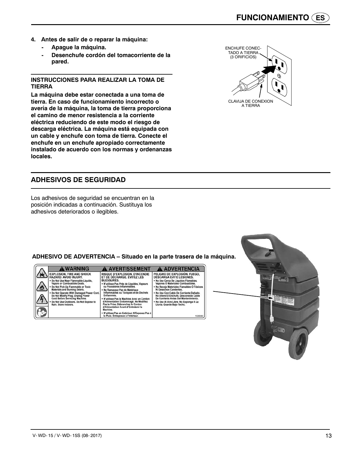- **4. Antes de salir de o reparar la máquina:**
	- **Apague la máquina.**
	- **Desenchufe cordón del tomacorriente de la pared.**

#### **INSTRUCCIONES PARA REALIZAR LA TOMA DE TIERRA**

**La máquina debe estar conectada a una toma de tierra. En caso de funcionamiento incorrecto o avería de la máquina, la toma de tierra proporciona el camino de menor resistencia a la corriente eléctrica reduciendo de este modo el riesgo de descarga eléctrica. La máquina está equipada con un cable y enchufe con toma de tierra. Conecte el enchufe en un enchufe apropiado correctamente instalado de acuerdo con los normas y ordenanzas locales.**



### **ADHESIVOS DE SEGURIDAD**

Los adhesivos de seguridad se encuentran en la posición indicadas a continuación. Sustituya los adhesivos deteriorados o ilegibles.

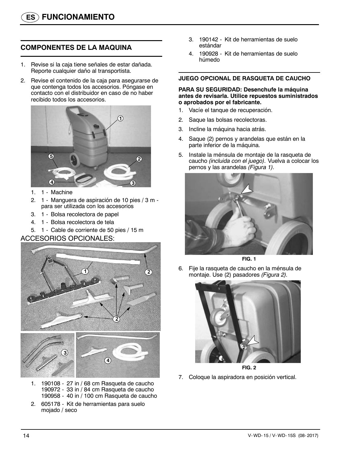### **COMPONENTES DE LA MAQUINA**

- 1. Revise si la caja tiene señales de estar dañada. Reporte cualquier daño al transportista.
- 2. Revise el contenido de la caja para asegurarse de que contenga todos los accesorios. Póngase en contacto con el distribuidor en caso de no haber recibido todos los accesorios.



- 1. 1 Machine
- 2. 1 Manguera de aspiración de 10 pies / 3 m para ser utilizada con los accesorios
- 3. 1 Bolsa recolectora de papel
- 4. 1 Bolsa recolectora de tela
- 5. 1 Cable de corriente de 50 pies / 15 m

#### ACCESORIOS OPCIONALES:



- 1. 190108 27 in / 68 cm Rasqueta de caucho 190972 - 33 in / 84 cm Rasqueta de caucho 190958 - 40 in / 100 cm Rasqueta de caucho
- 2. 605178 Kit de herramientas para suelo mojado / seco
- 3. 190142 Kit de herramientas de suelo estándar
- 4. 190928 Kit de herramientas de suelo húmedo

#### **JUEGO OPCIONAL DE RASQUETA DE CAUCHO**

#### **PARA SU SEGURIDAD: Desenchufe la máquina antes de revisarla. Utilice repuestos suministrados o aprobados por el fabricante.**

- 1. Vacíe el tanque de recuperación.
- 2. Saque las bolsas recolectoras.
- 3. Incline la máquina hacia atrás.
- 4. Saque (2) pernos y arandelas que están en la parte inferior de la máquina.
- 5. Instale la ménsula de montaje de la rasqueta de caucho *(incluida con el juego).* Vuelva a colocar los pernos y las arandelas *(Figura 1).*



**FIG. 1**

6. Fije la rasqueta de caucho en la ménsula de montaje. Use (2) pasadores *(Figura 2).*



**FIG. 2**

7. Coloque la aspiradora en posición vertical.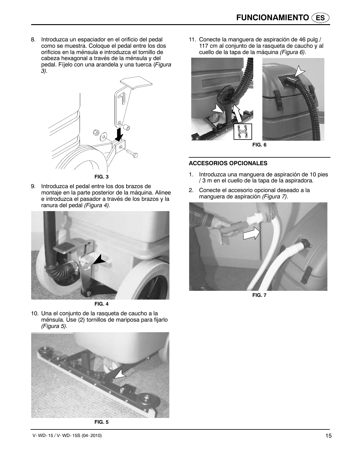8. Introduzca un espaciador en el orificio del pedal como se muestra. Coloque el pedal entre los dos orificios en la ménsula e introduzca el tornillo de cabeza hexagonal a través de la ménsula y del pedal. Fíjelo con una arandela y una tuerca (*Figura 3).*



9. Introduzca el pedal entre los dos brazos de montaje en la parte posterior de la máquina. Alinee e introduzca el pasador a través de los brazos y la ranura del pedal *(Figura 4).*



**FIG. 4**

10. Una el conjunto de la rasqueta de caucho a la ménsula. Use (2) tornillos de mariposa para fijarlo *(Figura 5).*



**FIG. 5**

11. Conecte la manguera de aspiración de 46 pulg / 117 cm al conjunto de la rasqueta de caucho y al cuello de la tapa de la máquina *(Figura 6).*



**FIG. 6**

#### **ACCESORIOS OPCIONALES**

- 1. Introduzca una manguera de aspiración de 10 pies / 3 m en el cuello de la tapa de la aspiradora.
- 2. Conecte el accesorio opcional deseado a la manguera de aspiración *(Figura 7).*



**FIG. 7**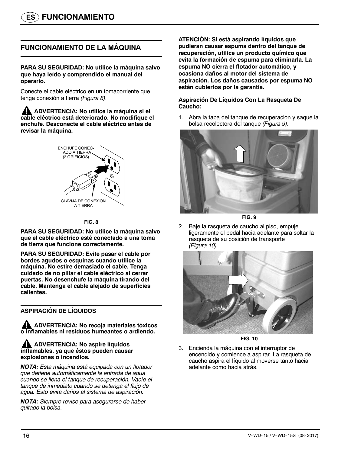### **FUNCIONAMIENTO DE LA MÁQUINA**

**PARA SU SEGURIDAD: No utilice la máquina salvo que haya leído y comprendido el manual del operario.**

Conecte el cable eléctrico en un tomacorriente que tenga conexión a tierra *(Figura 8).*

**ADVERTENCIA: No utilice la máquina si el cable eléctrico está deteriorado. No modifique el enchufe. Desconecte el cable eléctrico antes de revisar la máquina.**



#### **FIG. 8**

**PARA SU SEGURIDAD: No utilice la máquina salvo que el cable eléctrico esté conectado a una toma de tierra que funcione correctamente.**

**PARA SU SEGURIDAD: Evite pasar el cable por bordes agudos o esquinas cuando utilice la máquina. No estire demasiado el cable. Tenga cuidado de no pillar el cable eléctrico al cerrar puertas. No desenchufe la máquina tirando del cable. Mantenga el cable alejado de superficies calientes.**

#### **ASPIRACIÓN DE LÍQUIDOS**

**ADVERTENCIA: No recoja materiales tóxicos o inflamables ni residuos humeantes o ardiendo.**

#### **AN** ADVERTENCIA: No aspire líquidos **inflamables, ya que éstos pueden causar explosiones o incendios.**

*NOTA: Esta máquina está equipada con un flotador que detiene automáticamente la entrada de agua cuando se llena el tanque de recuperación. Vacíe el tanque de inmediato cuando se detenga el flujo de agua. Esto evita daños al sistema de aspiración.*

*NOTA: Siempre revise para asegurarse de haber quitado la bolsa.*

**ATENCIÓN: Si está aspirando líquidos que pudieran causar espuma dentro del tanque de recuperación, utilice un producto químico que evita la formación de espuma para eliminarla. La espuma NO cierra el flotador automático, y ocasiona daños al motor del sistema de aspiración. Los daños causados por espuma NO están cubiertos por la garantía.**

#### **Aspiración De Líquidos Con La Rasqueta De Caucho:**

1. Abra la tapa del tanque de recuperación y saque la bolsa recolectora del tanque *(Figura 9).*





2. Baje la rasqueta de caucho al piso, empuje ligeramente el pedal hacia adelante para soltar la rasqueta de su posición de transporte *(Figura 10).*



**FIG. 10**

3. Encienda la máquina con el interruptor de encendido y comience a aspirar. La rasqueta de caucho aspira el líquido al moverse tanto hacia adelante como hacia atrás.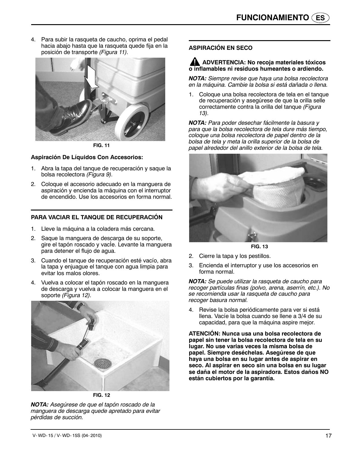4. Para subir la rasqueta de caucho, oprima el pedal hacia abajo hasta que la rasqueta quede fija en la posición de transporte *(Figura 11).*



**FIG. 11**

#### **Aspiración De Líquidos Con Accesorios:**

- 1. Abra la tapa del tanque de recuperación y saque la bolsa recolectora *(Figura 9).*
- 2. Coloque el accesorio adecuado en la manguera de aspiración y encienda la máquina con el interruptor de encendido. Use los accesorios en forma normal.

#### **PARA VACIAR EL TANQUE DE RECUPERACIÓN**

- 1. Lleve la máquina a la coladera más cercana.
- 2. Saque la manguera de descarga de su soporte, gire el tapón roscado y vacie. Levante la manguera para detener el flujo de agua.
- 3. Cuando el tanque de recuperación esté vacío, abra la tapa y enjuague el tanque con agua limpia para evitar los malos olores.
- 4. Vuelva a colocar el tapón roscado en la manguera de descarga y vuelva a colocar la manguera en el soporte *(Figura 12).*



**FIG. 12**

*NOTA: Asegúrese de que el tapón roscado de la manguera de descarga quede apretado para evitar pérdidas de succión.*

### **ASPIRACIÓN EN SECO**

#### **ADVERTENCIA: No recoja materiales tóxicos o inflamables ni residuos humeantes o ardiendo.**

*NOTA: Siempre revise que haya una bolsa recolectora en la máquina. Cambie la bolsa si está dañada o llena.*

1. Coloque una bolsa recolectora de tela en el tanque de recuperación y asegúrese de que la orilla selle correctamente contra la orilla del tanque *(Figura 13).*

*NOTA: Para poder desechar fácilmente la basura y para que la bolsa recolectora de tela dure más tiempo, coloque una bolsa recolectora de papel dentro de la bolsa de tela y meta la orilla superior de la bolsa de papel alrededor del anillo exterior de la bolsa de tela.*



**FIG. 13**

- 2. Cierre la tapa y los pestillos.
- 3. Encienda el interruptor y use los accesorios en forma normal.

*NOTA: Se puede utilizar la rasqueta de caucho para recoger partículas finas (polvo, arena, aserrín, etc.). No se recomienda usar la rasqueta de caucho para recoger basura normal.*

4. Revise la bolsa periódicamente para ver si está llena. Vacíe la bolsa cuando se llene a 3/4 de su capacidad, para que la máquina aspire mejor.

**ATENCIÓN: Nunca usa una bolsa recolectora de papel sin tener la bolsa recolectora de tela en su lugar. No use varias veces la misma bolsa de papel. Siempre deséchelas. Asegúrese de que haya una bolsa en su lugar antes de aspirar en seco. Al aspirar en seco sin una bolsa en su lugar se daña el motor de la aspiradora. Estos daños NO están cubiertos por la garantía.**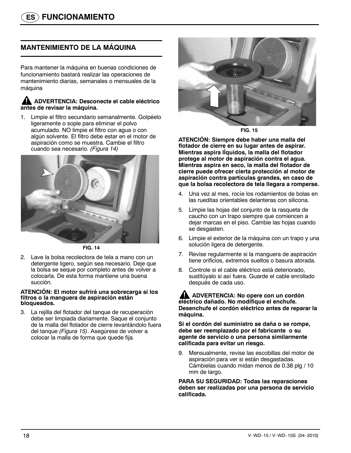### **MANTENIMIENTO DE LA MÁQUINA**

Para mantener la máquina en buenas condiciones de funcionamiento bastará realizar las operaciones de mantenimiento diarias, semanales o mensuales de la máquina

#### **ADVERTENCIA: Desconecte el cable eléctrico antes de revisar la máquina.**

1. Limpie el filtro secundario semanalmente. Golpéelo ligeramente o sople para eliminar el polvo acumulado. NO limpie el filtro con agua o con algún solvente. El filtro debe estar en el motor de aspiración como se muestra. Cambie el filtro cuando sea necesario. *(Figura 14)*



**FIG. 14**

2. Lave la bolsa recolectora de tela a mano con un detergente ligero, según sea necesario. Deje que la bolsa se seque por completo antes de volver a colocarla. De esta forma mantiene una buena succión.

#### **ATENCIÓN: El motor sufrirá una sobrecarga si los filtros o la manguera de aspiración están bloqueados.**

3. La rejilla del flotador del tanque de recuperación debe ser limpiada diariamente. Saque el conjunto de la malla del flotador de cierre levantándolo fuera del tanque *(Figura 15)*. Asegúrese de volver a colocar la malla de forma que quede fija*.*



**FIG. 15**

**ATENCIÓN: Siempre debe haber una malla del flotador de cierre en su lugar antes de aspirar. Mientras aspira lÌquidos, la malla del flotador protege al motor de aspiración contra el agua. Mientras aspira en seco, la malla del flotador de cierre puede ofrecer cierta protección al motor de aspiración contra partículas grandes, en caso de que la bolsa recolectora de tela llegara a romperse.**

- 4. Una vez al mes, rocíe los rodamientos de bolas en las rueditas orientables delanteras con silicona.
- 5. Limpie las hojas del conjunto de la rasqueta de caucho con un trapo siempre que comiencen a dejar marcas en el piso. Cambie las hojas cuando se desgasten.
- 6. Limpie el exterior de la máquina con un trapo y una solución ligera de detergente.
- 7. Revise regularmente si la manguera de aspiración tiene orificios, extremos sueltos o basura atorada.
- 8. Controle si el cable eléctrico está deteriorado, sustitúyalo si así fuera. Guarde el cable enrollado después de cada uso.

**ADVERTENCIA: No opere con un cordón eléctrico dañado. No modifique el enchufe. Desenchufe el cordón eléctrico antes de reparar la máquina.**

**Si el cordón del suministro se daña o se rompe, debe ser reemplazado por el fabricante o su agente de servicio o una persona similarmente calificada para evitar un riesgo.**

9. Mensualmente, revise las escobillas del motor de aspiración para ver si están desgastadas. Cámbielas cuando midan menos de 0.38 plg / 10 mm de largo.

**PARA SU SEGURIDAD: Todas las reparaciones deben ser realizadas por una persona de servicio calificada.**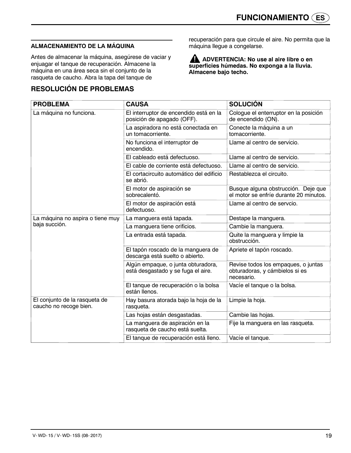### **ALMACENAMIENTO DE LA MÁQUINA**

Antes de almacenar la máquina, asegúrese de vaciar y enjuagar el tanque de recuperación. Almacene la máquina en una área seca sin el conjunto de la rasqueta de caucho. Abra la tapa del tanque de

### **RESOLUCIÓN DE PROBLEMAS**

recuperación para que circule el aire. No permita que la máquina llegue a congelarse.

**ADVERTENCIA: No use al aire libre o en superficies húmedas. No exponga a la lluvia. Almacene bajo techo.**

| <b>PROBLEMA</b>                                         | <b>CAUSA</b>                                                             | <b>SOLUCIÓN</b>                                                                     |
|---------------------------------------------------------|--------------------------------------------------------------------------|-------------------------------------------------------------------------------------|
| La máquina no funciona.                                 | El interruptor de encendido está en la<br>posición de apagado (OFF).     | Cologue el enterruptor en la posición<br>de encendido (ON).                         |
|                                                         | La aspiradora no está conectada en<br>un tomacorriente.                  | Conecte la máquina a un<br>tomacorriente.                                           |
|                                                         | No funciona el interruptor de<br>encendido.                              | Llame al centro de servicio.                                                        |
|                                                         | El cableado está defectuoso.                                             | Llame al centro de servicio.                                                        |
|                                                         | El cable de corriente está defectuoso.                                   | Llame al centro de servicio.                                                        |
|                                                         | El cortacircuito automático del edificio<br>se abrió.                    | Restablezca el circuito.                                                            |
|                                                         | El motor de aspiración se<br>sobrecalentó.                               | Busque alguna obstrucción. Deje que<br>el motor se enfríe durante 20 minutos.       |
|                                                         | El motor de aspiración está<br>defectuoso.                               | Llame al centro de servcio.                                                         |
| La máquina no aspira o tiene muy                        | La manguera está tapada.                                                 | Destape la manguera.                                                                |
| baja succión.                                           | La manguera tiene orificios.                                             | Cambie la manguera.                                                                 |
|                                                         | La entrada está tapada.                                                  | Quite la manguera y limpie la<br>obstrucción.                                       |
|                                                         | El tapón roscado de la manguera de<br>descarga está suelto o abierto.    | Apriete el tapón roscado.                                                           |
|                                                         | Algún empaque, o junta obturadora,<br>está desgastado y se fuga el aire. | Revise todos los empaques, o juntas<br>obturadoras, y cámbielos si es<br>necesario. |
|                                                         | El tanque de recuperación o la bolsa<br>están llenos.                    | Vacíe el tanque o la bolsa.                                                         |
| El conjunto de la rasqueta de<br>caucho no recoge bien. | Hay basura atorada bajo la hoja de la<br>rasqueta.                       | Limpie la hoja.                                                                     |
|                                                         | Las hojas están desgastadas.                                             | Cambie las hojas.                                                                   |
|                                                         | La manguera de aspiración en la<br>rasqueta de caucho está suelta.       | Fije la manguera en las rasqueta.                                                   |
|                                                         | El tanque de recuperación está lleno.                                    | Vacíe el tanque.                                                                    |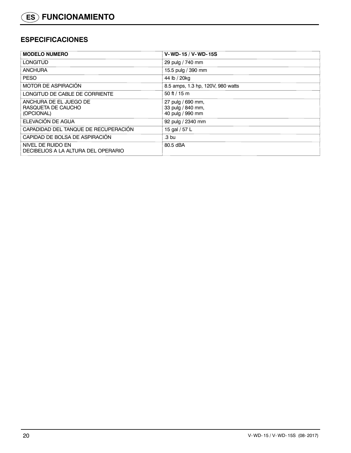### **ESPECIFICACIONES**

| <b>MODELO NUMERO</b>                                       | V-WD-15 / V-WD-15S                                         |
|------------------------------------------------------------|------------------------------------------------------------|
| <b>LONGITUD</b>                                            | 29 pulg / 740 mm                                           |
| <b>ANCHURA</b>                                             | 15.5 pulg / 390 mm                                         |
| <b>PESO</b>                                                | 44 lb / 20kg                                               |
| <b>MOTOR DE ASPIRACIÓN</b>                                 | 8.5 amps, 1.3 hp, 120V, 980 watts                          |
| LONGITUD DE CABLE DE CORRIENTE                             | 50 ft / 15 m                                               |
| ANCHURA DE EL JUEGO DE<br>RASQUETA DE CAUCHO<br>(OPCIONAL) | 27 pulg / 690 mm,<br>33 pulg / 840 mm,<br>40 pulg / 990 mm |
| ELEVACIÓN DE AGUA                                          | 92 pulg / 2340 mm                                          |
| CAPADIDAD DEL TANQUE DE RECUPERACIÓN                       | 15 gal / 57 L                                              |
| CAPIDAD DE BOLSA DE ASPIRACIÓN                             | .3 <sub>bu</sub>                                           |
| NIVEL DE RUIDO EN<br>DECIBELIOS A LA ALTURA DEL OPERARIO   | 80.5 dBA                                                   |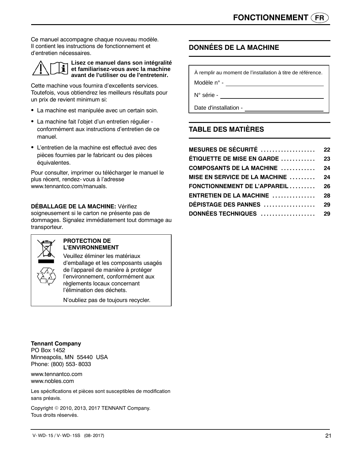Ce manuel accompagne chaque nouveau modèle. Il contient les instructions de fonctionnement et d'entretien nécessaires.



**Lisez ce manuel dans son intégralité et familiarisez-vous avec la machine avant de l'utiliser ou de l'entretenir.**

Cette machine vous fournira d'excellents services. Toutefois, vous obtiendrez les meilleurs résultats pour un prix de revient minimum si:

- La machine est manipulée avec un certain soin.
- La machine fait l'objet d'un entretien régulier conformément aux instructions d'entretien de ce manuel.
- L'entretien de la machine est effectué avec des pièces fournies par le fabricant ou des pièces équivalentes.

Pour consulter, imprimer ou télécharger le manuel le plus récent, rendez- vous à l'adresse www.tennantco.com/manuals.

#### **DÉBALLAGE DE LA MACHINE:** Vérifiez

soigneusement si le carton ne présente pas de dommages. Signalez immédiatement tout dommage au transporteur.



#### **PROTECTION DE L'ENVIRONNEMENT**

Veuillez éliminer les matériaux d'emballage et les composants usagés de l'appareil de manière à protéger l'environnement, conformément aux règlements locaux concernant l'élimination des déchets.

N'oubliez pas de toujours recycler.

**DONNÉES DE LA MACHINE**

À remplir au moment de l'installation à titre de référence. Modèle n° -

N° série -

Date d'installation -

### **TABLE DES MATIÈRES**

### **MESURES DE SÉCURITÉ 22 ................... ÉTIQUETTE DE MISE EN GARDE 23 ............ COMPOSANTS DE LA MACHINE 24 ............ MISE EN SERVICE DE LA MACHINE .......... 24 FONCTIONNEMENT DE L'APPAREIL 26 ......... ENTRETIEN DE LA MACHINE 28 ............... DÉPISTAGE DES PANNES** ..................... 29 **DONNÉES TECHNIQUES 29 ...................**

**Tennant Company**

PO Box 1452 Minneapolis, MN 55440 USA Phone: (800) 553- 8033

www.tennantco.com www.nobles.com

Les spécifications et pièces sont susceptibles de modification sans préavis.

Copyright © 2010, 2013, 2017 TENNANT Company. Tous droits réservés.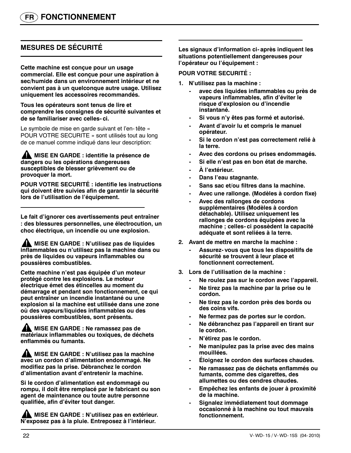### **MESURES DE SÉCURITÉ**

**Cette machine est conçue pour un usage commercial. Elle est conçue pour une aspiration à sec/humide dans un environnement intérieur et ne convient pas à un quelconque autre usage. Utilisez uniquement les accessoires recommandés.**

**Tous les opérateurs sont tenus de lire et comprendre les consignes de sécurité suivantes et de se familiariser avec celles- ci.**

Le symbole de mise en garde suivant et l'en- tête « POUR VOTRE SECURITE » sont utilisés tout au long de ce manuel comme indiqué dans leur description:

AN **MISE EN GARDE : identifie la présence de dangers ou les opérations dangereuses susceptibles de blesser grièvement ou de provoquer la mort.**

**POUR VOTRE SECURITÉ : identifie les instructions qui doivent être suivies afin de garantir la sécurité lors de l'utilisation de l'équipement.**

**Le fait d'ignorer ces avertissements peut entraîner : des blessures personnelles, une électrocution, un choc électrique, un incendie ou une explosion.**

**MISE EN GARDE : N'utilisez pas de liquides inflammables ou n'utilisez pas la machine dans ou près de liquides ou vapeurs inflammables ou poussières combustibles.**

**Cette machine n'est pas équipée d'un moteur protégé contre les explosions. Le moteur électrique émet des étincelles au moment du démarrage et pendant son fonctionnement, ce qui peut entraîner un incendie instantané ou une explosion si la machine est utilisée dans une zone où des vapeurs/liquides inflammables ou des poussières combustibles, sont présents.**

**MISE EN GARDE : Ne ramassez pas de matériaux inflammables ou toxiques, de déchets enflammés ou fumants.**

**ANDISE EN GARDE : N'utilisez pas la machine avec un cordon d'alimentation endommagé. Ne modifiez pas la prise. Débranchez le cordon d'alimentation avant d'entretenir la machine.**

**Si le cordon d'alimentation est endommagé ou rompu, il doit être remplacé par le fabricant ou son agent de maintenance ou toute autre personne qualifiée, afin d'éviter tout danger.**

**MISE EN GARDE : N'utilisez pas en extérieur. N'exposez pas à la pluie. Entreposez à l'intérieur.**

**Les signaux d'information ci- après indiquent les situations potentiellement dangereuses pour l'opérateur ou l'équipement :**

#### **POUR VOTRE SECURITÉ :**

- **1. N'utilisez pas la machine :**
	- **avec des liquides inflammables ou près de vapeurs inflammables, afin d'éviter le risque d'explosion ou d'incendie instantané.**
	- **Si vous n'y êtes pas formé et autorisé.**
	- **Avant d'avoir lu et compris le manuel opérateur.**
	- **Si le cordon n'est pas correctement relié à la terre.**
	- **Avec des cordons ou prises endommagés.**
	- **Si elle n'est pas en bon état de marche.**
	- **À l'extérieur.**
	- **Dans l'eau stagnante.**
	- **Sans sac et/ou filtres dans la machine.**
	- **Avec une rallonge. (Modèles à cordon fixe)**
	- **Avec des rallonges de cordons supplémentaires (Modèles à cordon détachable). Utilisez uniquement les rallonges de cordons équipées avec la machine ; celles- ci possèdent la capacité adéquate et sont reliées à la terre.**
- **2. Avant de mettre en marche la machine :**
	- **Assurez- vous que tous les dispositifs de sécurité se trouvent à leur place et fonctionnent correctement.**
- **3. Lors de l'utilisation de la machine :**
	- **Ne roulez pas sur le cordon avec l'appareil.**
	- **Ne tirez pas la machine par la prise ou le cordon.**
	- **Ne tirez pas le cordon près des bords ou des coins vifs.**
	- **Ne fermez pas de portes sur le cordon.**
	- **Ne débranchez pas l'appareil en tirant sur le cordon.**
	- **N'étirez pas le cordon.**
	- **Ne manipulez pas la prise avec des mains mouillées.**
	- **Éloignez le cordon des surfaces chaudes.**
	- **Ne ramassez pas de déchets enflammés ou fumants, comme des cigarettes, des allumettes ou des cendres chaudes.**
	- **Empêchez les enfants de jouer à proximité de la machine.**
	- **Signalez immédiatement tout dommage occasionné à la machine ou tout mauvais fonctionnement.**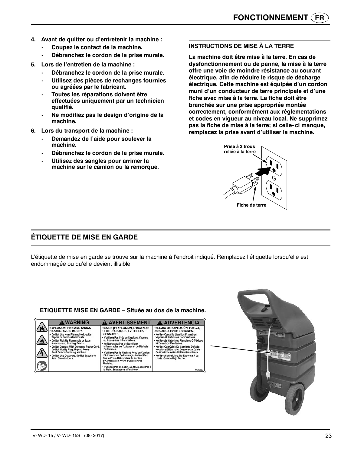- **4. Avant de quitter ou d'entretenir la machine :**
	- **Coupez le contact de la machine.**
	- **Débranchez le cordon de la prise murale.**
- **5. Lors de l'entretien de la machine :**
	- **Débranchez le cordon de la prise murale.**
	- **Utilisez des pièces de rechanges fournies ou agréées par le fabricant.**
	- **Toutes les réparations doivent être effectuées uniquement par un technicien qualifié.**
	- **Ne modifiez pas le design d'origine de la machine.**
- **6. Lors du transport de la machine :**
	- **Demandez de l'aide pour soulever la machine.**
	- **Débranchez le cordon de la prise murale.**
	- **Utilisez des sangles pour arrimer la machine sur le camion ou la remorque.**

#### **INSTRUCTIONS DE MISE À LA TERRE**

**La machine doit être mise à la terre. En cas de dysfonctionnement ou de panne, la mise à la terre offre une voie de moindre résistance au courant électrique, afin de réduire le risque de décharge électrique. Cette machine est équipée d'un cordon muni d'un conducteur de terre principale et d'une fiche avec mise à la terre. La fiche doit être branchée sur une prise appropriée montée correctement, conformément aux réglementations et codes en vigueur au niveau local. Ne supprimez pas la fiche de mise à la terre; si celle- ci manque, remplacez la prise avant d'utiliser la machine.**



### **ÉTIQUETTE DE MISE EN GARDE**

L'étiquette de mise en garde se trouve sur la machine à l'endroit indiqué. Remplacez l'étiquette lorsqu'elle est endommagée ou qu'elle devient illisible.

#### **ETIQUETTE MISE EN GARDE – Située au dos de la machine.A WARNING A AVERTISSEMENT A ADVERTENCIA EXPLOSION, FIRE AND SHOCK**<br>HAZARD. AVOID INJURY. RISQUE D'EXPLOSION, D'INCENDIE<br>ET DE DÉCHARGE. ÉVITEZ LES<br>BLESSURES. PELIGRO DE EXPLOSIÓN, FUEGO,<br>DESCARGA EVITE LESIONES. Do Not Use Near Flammable Liquids,<br>Vapors or Combustible Dusts. No Use Cerca De Líquidos Flamables,<br>Vapores Ó Materiales Combustibles. **SLESSURES.<br>• N'utilisez Pas Près de Liquides, Vapeurs<br>ou Poussières Inflammables.** Do Not Pick Up Flammable or Toxic<br>Materials and Burning Debris. No Recoja Materiales Flamables Ó Tóxicos<br>Ni Desechos Candentes. Ne Ramassez Pas de Matériaux<br>Inflammables ou Toxiques et de Déchets materials and burning betwist<br>Do Not (Nerate With Damaged Power Cord<br>Do Not Modify Plug. Unplug Power<br>Cord Before Servicing Machine. - No Use Con Cable De Corriente Dañado.<br>No Altere El Enchufe. Desconecte Cable<br>De Corriente Antes Del Mantenimiento. Enflammes.<br>N'utilisez Pas la Machine Avec un Cordon<br>d'Alimentation Endommagé. Ne Modifiez<br>Pas la Prise. Débranchez le Cordon<br>d'Alimentation Avant d'Entretenir la Do Not Use Outdoors. Do Not Expose to No Use Al Aire Libre. No Exponga A La<br>Lluvia. Guarde Bajo Techo. Machine.<br>N'utilisez Pas en Extérieur. N'Exposez Pas à<br>la Pluie. Entreposez à l'Intérieur. 10263

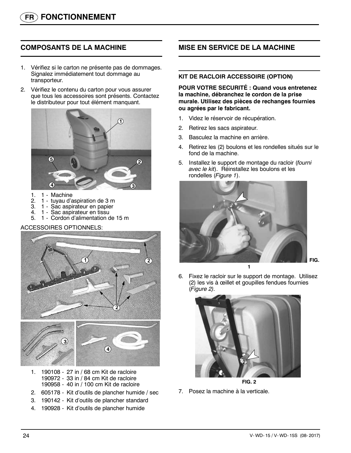### **COMPOSANTS DE LA MACHINE**

- 1. Vérifiez si le carton ne présente pas de dommages. Signalez immédiatement tout dommage au transporteur.
- 2. Vérifiez le contenu du carton pour vous assurer que tous les accessoires sont présents. Contactez le distributeur pour tout élément manquant.



- 1. 1 Machine<br>2. 1 tuyau d'a
- 2. 1 tuyau d'aspiration de 3 m
- 3. 1 Sac aspirateur en papier
- 4. 1 Sac aspirateur en tissu
- 5. 1 Cordon d'alimentation de 15 m

#### ACCESSOIRES OPTIONNELS:





- 1. 190108 27 in / 68 cm Kit de racloire 190972 - 33 in / 84 cm Kit de racloire 190958 - 40 in / 100 cm Kit de racloire
- 2. 605178 Kit d'outils de plancher humide / sec
- 3. 190142 Kit d'outils de plancher standard
- 4. 190928 Kit d'outils de plancher humide

### **MISE EN SERVICE DE LA MACHINE**

#### **KIT DE RACLOIR ACCESSOIRE (OPTION)**

**POUR VOTRE SECURITÉ : Quand vous entretenez la machine, débranchez le cordon de la prise murale. Utilisez des pièces de rechanges fournies ou agrées par le fabricant.**

- 1. Videz le réservoir de récupération.
- 2. Retirez les sacs aspirateur.
- 3. Basculez la machine en arrière.
- 4. Retirez les (2) boulons et les rondelles situés sur le fond de la machine.
- 5. Installez le support de montage du racloir (*fourni avec le kit*). Réinstallez les boulons et les rondelles (*Figure 1*).



6. Fixez le racloir sur le support de montage. Utilisez (2) les vis à œillet et goupilles fendues fournies (*Figure 2).*



**FIG. 2**

7. Posez la machine à la verticale.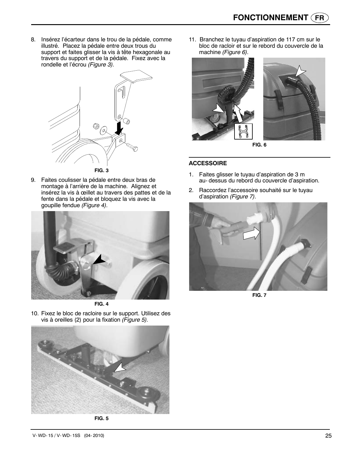8. Insérez l'écarteur dans le trou de la pédale, comme illustré. Placez la pédale entre deux trous du support et faites glisser la vis à tête hexagonale au travers du support et de la pédale. Fixez avec la rondelle et l'écrou *(Figure 3).*



9. Faites coulisser la pédale entre deux bras de montage à l'arrière de la machine. Alignez et insérez la vis à œillet au travers des pattes et de la fente dans la pédale et bloquez la vis avec la goupille fendue *(Figure 4).*



**FIG. 4**

10. Fixez le bloc de racloire sur le support. Utilisez des vis à oreilles (2) pour la fixation *(Figure 5).*



**FIG. 5**

11. Branchez le tuyau d'aspiration de 117 cm sur le bloc de racloir et sur le rebord du couvercle de la machine *(Figure 6).*



**FIG. 6**

#### **ACCESSOIRE**

- 1. Faites glisser le tuyau d'aspiration de 3 m au- dessus du rebord du couvercle d'aspiration.
- 2. Raccordez l'accessoire souhaité sur le tuyau d'aspiration *(Figure 7).*



**FIG. 7**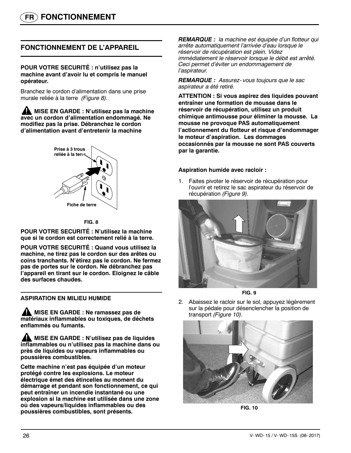### **FONCTIONNEMENT DE L'APPAREIL**

#### **POUR VOTRE SECURITÉ : n'utilisez pas la machine avant d'avoir lu et compris le manuel opérateur.**

Branchez le cordon d'alimentation dans une prise murale reliée à la terre *(Figure 8).*

**MISE EN GARDE : N'utilisez pas la machine avec un cordon d'alimentation endommagé. Ne modifiez pas la prise. Débranchez le cordon d'alimentation avant d'entretenir la machine**



#### **FIG. 8**

**POUR VOTRE SECURITÉ : N'utilisez la machine que si le cordon est correctement relié à la terre.**

**POUR VOTRE SECURITÉ : Quand vous utilisez la machine, ne tirez pas le cordon sur des arêtes ou coins tranchants. N'étirez pas le cordon. Ne fermez pas de portes sur le cordon. Ne débranchez pas l'appareil en tirant sur le cordon. Eloignez le câble des surfaces chaudes.**

#### **ASPIRATION EN MILIEU HUMIDE**

**A** MISE EN GARDE : Ne ramassez pas de **matériaux inflammables ou toxiques, de déchets enflammés ou fumants.**

**ANISE EN GARDE : N'utilisez pas de liquides inflammables ou n'utilisez pas la machine dans ou près de liquides ou vapeurs inflammables ou poussières combustibles.**

**Cette machine n'est pas équipée d'un moteur protégé contre les explosions. Le moteur électrique émet des étincelles au moment du démarrage et pendant son fonctionnement, ce qui peut entraîner un incendie instantané ou une explosion si la machine est utilisée dans une zone où des vapeurs/liquides inflammables ou des poussières combustibles, sont présents.**

*REMARQUE : la machine est équipée d'un flotteur qui arrête automatiquement l'arrivée d'eau lorsque le réservoir de récupération est plein. Videz immédiatement le réservoir lorsque le débit est arrêté. Ceci permet d'éviter un endommagement de l'aspirateur.*

*REMARQUE : Assurez- vous toujours que le sac aspirateur a été retiré.*

**ATTENTION : Si vous aspirez des liquides pouvant entraîner une formation de mousse dans le réservoir de récupération, utilisez un produit chimique antimousse pour éliminer la mousse. La mousse ne provoque PAS automatiquement l'actionnement du flotteur et risque d'endommager le moteur d'aspiration. Les dommages occasionnés par la mousse ne sont PAS couverts par la garantie.**

#### **Aspiration humide avec racloir :**

1. Faites pivoter le réservoir de récupération pour l'ouvrir et retirez le sac aspirateur du réservoir de récupération *(Figure 9).*



**FIG. 9**

2. Abaissez le racloir sur le sol, appuyez légèrement sur la pédale pour désenclencher la position de transport *(Figure 10).*



**FIG. 10**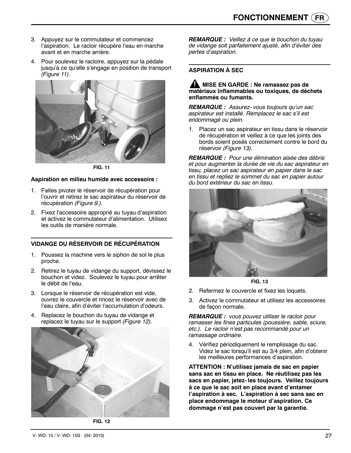- 3. Appuyez sur le commutateur et commencez l'aspiration. Le racloir récupère l'eau en marche avant et en marche arrière.
- 4. Pour soulevez le racloire, appuyez sur la pédale jusqu'à ce qu'elle s'engage en position de transport *(Figure 11).*



**FIG. 11**

#### **Aspiration en milieu humide avec accessoire :**

- 1. Faites pivoter le réservoir de récupération pour l'ouvrir et retirez le sac aspirateur du réservoir de récupération *(Figure 9.).*
- 2. Fixez l'accessoire approprié au tuyau d'aspiration et activez le commutateur d'alimentation. Utilisez les outils de manière normale.

#### **VIDANGE DU RÉSERVOIR DE RÉCUPÉRATION**

- 1. Poussez la machine vers le siphon de sol le plus proche.
- 2. Retirez le tuyau de vidange du support, dévissez le bouchon et videz. Soulevez le tuyau pour arrêter le débit de l'eau.
- 3. Lorsque le réservoir de récupération est vide, ouvrez le couvercle et rincez le réservoir avec de l'eau claire, afin d'éviter l'accumulation d'odeurs.
- 4. Replacez le bouchon du tuyau de vidange et replacez le tuyau sur le support *(Figure 12).*



**FIG. 12**

*REMARQUE : Veillez à ce que le bouchon du tuyau de vidange soit parfaitement ajusté, afin d'éviter des pertes d'aspiration.*

#### **ASPIRATION À SEC**

#### **A** MISE EN GARDE : Ne ramassez pas de **matériaux inflammables ou toxiques, de déchets enflammés ou fumants.**

*REMARQUE : Assurez- vous toujours qu'un sac aspirateur est installé. Remplacez le sac s'il est endommagé ou plein.*

1. Placez un sac aspirateur en tissu dans le réservoir de récupération et veillez à ce que les joints des bords soient posés correctement contre le bord du réservoir *(Figure 13).*

*REMARQUE : Pour une élimination aisée des débris et pour augmenter la durée de vie du sac aspirateur en tissu, placez un sac aspirateur en papier dans le sac en tissu et repliez le sommet du sac en papier autour du bord extérieur du sac en tissu.*



**FIG. 13**

- 2. Refermez le couvercle et fixez les loquets.
- 3. Activez le commutateur et utilisez les accessoires de façon normale.

*REMARQUE : vous pouvez utiliser le racloir pour ramasser les fines particules (poussière, sable, sciure, etc.). Le racloir n'est pas recommandé pour un ramassage ordinaire.*

4. Vérifiez périodiquement le remplissage du sac. Videz le sac lorsqu'il est au 3/4 plein, afin d'obtenir les meilleures performances d'aspiration.

**ATTENTION : N'utilisez jamais de sac en papier sans sac en tissu en place. Ne réutilisez pas les sacs en papier, jetez- les toujours. Veillez toujours à ce que le sac soit en place avant d'entamer l'aspiration à sec. L'aspiration à sec sans sac en place endommage le moteur d'aspiration. Ce dommage n'est pas couvert par la garantie.**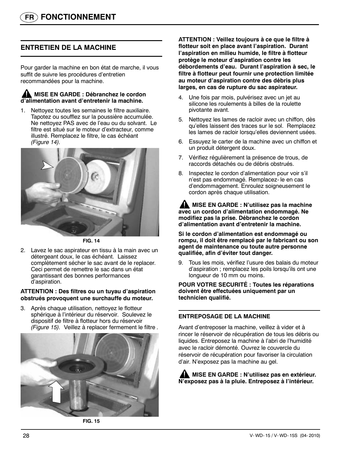### **ENTRETIEN DE LA MACHINE**

Pour garder la machine en bon état de marche, il vous suffit de suivre les procédures d'entretien recommandées pour la machine.

#### **A MISE EN GARDE : Débranchez le cordon d'alimentation avant d'entretenir la machine.**

1. Nettoyez toutes les semaines le filtre auxiliaire. Tapotez ou soufflez sur la poussière accumulée. Ne nettoyez PAS avec de l'eau ou du solvant. Le filtre est situé sur le moteur d'extracteur, comme illustré. Remplacez le filtre, le cas échéant *(Figure 14).*



**FIG. 14**

2. Lavez le sac aspirateur en tissu à la main avec un détergeant doux, le cas échéant. Laissez complètement sécher le sac avant de le replacer. Ceci permet de remettre le sac dans un état garantissant des bonnes performances d'aspiration.

#### **ATTENTION : Des filtres ou un tuyau d'aspiration obstrués provoquent une surchauffe du moteur.**

3. Après chaque utilisation, nettoyez le flotteur sphérique à l'intérieur du réservoir. Soulevez le dispositif de filtre à flotteur hors du réservoir *(Figure 15).* Veillez à replacer fermement le filtre *.*



**FIG. 15**

**ATTENTION : Veillez toujours à ce que le filtre à flotteur soit en place avant l'aspiration. Durant l'aspiration en milieu humide, le filtre à flotteur protège le moteur d'aspiration contre les débordements d'eau. Durant l'aspiration à sec, le filtre à flotteur peut fournir une protection limitée au moteur d'aspiration contre des débris plus larges, en cas de rupture du sac aspirateur.**

- 4. Une fois par mois, pulvérisez avec un jet au silicone les roulements à billes de la roulette pivotante avant.
- 5. Nettoyez les lames de racloir avec un chiffon, dès qu'elles laissent des traces sur le sol. Remplacez les lames de racloir lorsqu'elles deviennent usées.
- 6. Essuyez le carter de la machine avec un chiffon et un produit détergent doux.
- 7. Vérifiez régulièrement la présence de trous, de raccords détachés ou de débris obstrués.
- 8. Inspectez le cordon d'alimentation pour voir s'il n'est pas endommagé. Remplacez- le en cas d'endommagement. Enroulez soigneusement le cordon après chaque utilisation.

**MISE EN GARDE : N'utilisez pas la machine avec un cordon d'alimentation endommagé. Ne modifiez pas la prise. Débranchez le cordon d'alimentation avant d'entretenir la machine.**

**Si le cordon d'alimentation est endommagé ou rompu, il doit être remplacé par le fabricant ou son agent de maintenance ou toute autre personne qualifiée, afin d'éviter tout danger.**

9. Tous les mois, vérifiez l'usure des balais du moteur d'aspiration ; remplacez les poils lorsqu'ils ont une longueur de 10 mm ou moins.

#### **POUR VOTRE SECURITÉ : Toutes les réparations doivent être effectuées uniquement par un technicien qualifié.**

#### **ENTREPOSAGE DE LA MACHINE**

Avant d'entreposer la machine, veillez à vider et à rincer le réservoir de récupération de tous les débris ou liquides. Entreposez la machine à l'abri de l'humidité avec le racloir démonté. Ouvrez le couvercle du réservoir de récupération pour favoriser la circulation d'air. N'exposez pas la machine au gel.

**MISE EN GARDE : N'utilisez pas en extérieur. N'exposez pas à la pluie. Entreposez à l'intérieur.**